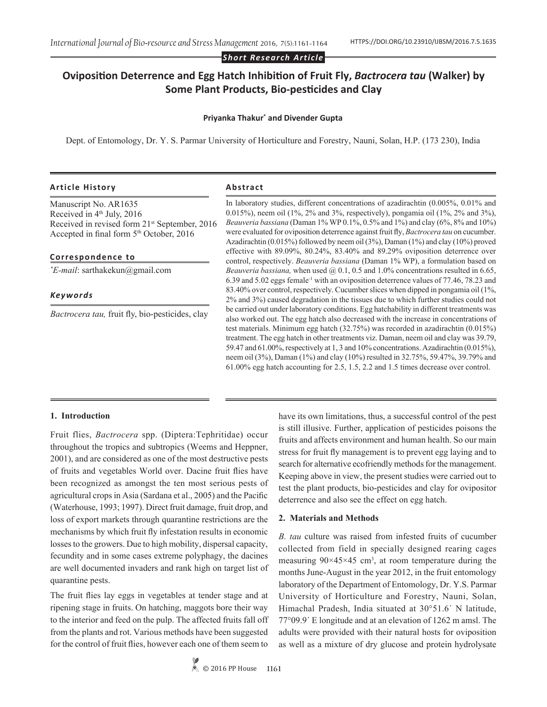*Short Research Article*

# **Oviposition Deterrence and Egg Hatch Inhibition of Fruit Fly,** *Bactrocera tau* **(Walker) by Some Plant Products, Bio-pesticides and Clay**

#### **Priyanka Thakur\* and Divender Gupta**

Dept. of Entomology, Dr. Y. S. Parmar University of Horticulture and Forestry, Nauni, Solan, H.P. (173 230), India

#### **Article History Abstract**

Manuscript No. AR1635 Received in  $4<sup>th</sup>$  July, 2016 Received in revised form 21st September, 2016 Accepted in final form 5th October, 2016

**Correspondence to** 

*\* E-mail*: sarthakekun@gmail.com

### *Keywords*

*Bactrocera tau,* fruit fly, bio-pesticides, clay

In laboratory studies, different concentrations of azadirachtin (0.005%, 0.01% and 0.015%), neem oil (1%, 2% and 3%, respectively), pongamia oil (1%, 2% and 3%), *Beauveria bassiana* (Daman 1% WP 0.1%, 0.5% and 1%) and clay (6%, 8% and 10%) were evaluated for oviposition deterrence against fruit fly, *Bactrocera tau* on cucumber. Azadirachtin (0.015%) followed by neem oil (3%), Daman (1%) and clay (10%) proved effective with 89.09%, 80.24%, 83.40% and 89.29% oviposition deterrence over control, respectively. *Beauveria bassiana* (Daman 1% WP), a formulation based on *Beauveria bassiana, when used @ 0.1, 0.5 and 1.0% concentrations resulted in 6.65,* 6.39 and 5.02 eggs female-1 with an oviposition deterrence values of 77.46, 78.23 and 83.40% over control, respectively. Cucumber slices when dipped in pongamia oil (1%, 2% and 3%) caused degradation in the tissues due to which further studies could not be carried out under laboratory conditions. Egg hatchability in different treatments was also worked out. The egg hatch also decreased with the increase in concentrations of test materials. Minimum egg hatch (32.75%) was recorded in azadirachtin (0.015%) treatment. The egg hatch in other treatments viz. Daman, neem oil and clay was 39.79, 59.47 and 61.00%, respectively at 1, 3 and 10% concentrations. Azadirachtin (0.015%), neem oil (3%), Daman (1%) and clay (10%) resulted in 32.75%, 59.47%, 39.79% and 61.00% egg hatch accounting for 2.5, 1.5, 2.2 and 1.5 times decrease over control.

#### **1. Introduction**

Fruit flies, *Bactrocera* spp. (Diptera:Tephritidae) occur throughout the tropics and subtropics (Weems and Heppner, 2001), and are considered as one of the most destructive pests of fruits and vegetables World over. Dacine fruit flies have been recognized as amongst the ten most serious pests of agricultural crops in Asia (Sardana et al., 2005) and the Pacific (Waterhouse, 1993; 1997). Direct fruit damage, fruit drop, and loss of export markets through quarantine restrictions are the mechanisms by which fruit fly infestation results in economic losses to the growers. Due to high mobility, dispersal capacity, fecundity and in some cases extreme polyphagy, the dacines are well documented invaders and rank high on target list of quarantine pests.

The fruit flies lay eggs in vegetables at tender stage and at ripening stage in fruits. On hatching, maggots bore their way to the interior and feed on the pulp. The affected fruits fall off from the plants and rot. Various methods have been suggested for the control of fruit flies, however each one of them seem to

© 2016 PP House **1161**

have its own limitations, thus, a successful control of the pest is still illusive. Further, application of pesticides poisons the fruits and affects environment and human health. So our main stress for fruit fly management is to prevent egg laying and to search for alternative ecofriendly methods for the management. Keeping above in view, the present studies were carried out to test the plant products, bio-pesticides and clay for ovipositor deterrence and also see the effect on egg hatch.

#### **2. Materials and Methods**

*B. tau* culture was raised from infested fruits of cucumber collected from field in specially designed rearing cages measuring  $90 \times 45 \times 45$  cm<sup>3</sup>, at room temperature during the months June-August in the year 2012, in the fruit entomology laboratory of the Department of Entomology, Dr. Y.S. Parmar University of Horticulture and Forestry, Nauni, Solan, Himachal Pradesh, India situated at 30°51.6΄ N latitude, 77°09.9΄ E longitude and at an elevation of 1262 m amsl. The adults were provided with their natural hosts for oviposition as well as a mixture of dry glucose and protein hydrolysate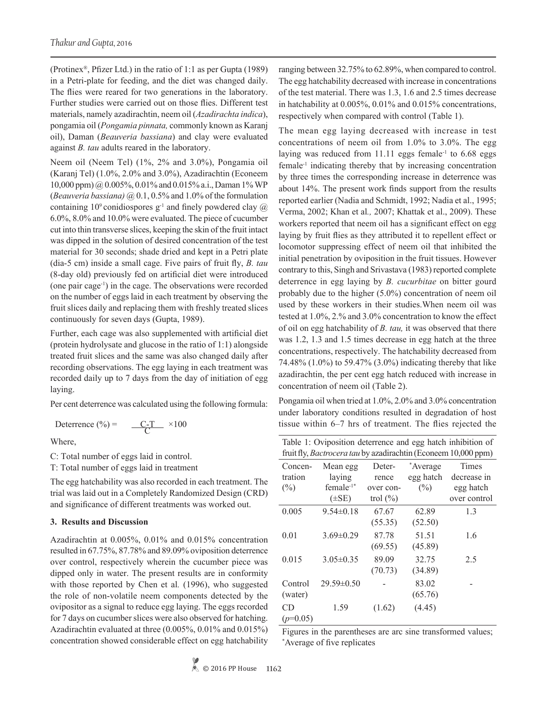(Protinex®, Pfizer Ltd.) in the ratio of 1:1 as per Gupta (1989) in a Petri-plate for feeding, and the diet was changed daily. The flies were reared for two generations in the laboratory. Further studies were carried out on those flies. Different test materials, namely azadirachtin, neem oil (*Azadirachta indica*), pongamia oil (*Pongamia pinnata,* commonly known as Karanj oil), Daman (*Beauveria bassiana*) and clay were evaluated against *B. tau* adults reared in the laboratory.

Neem oil (Neem Tel) (1%, 2% and 3.0%), Pongamia oil (Karanj Tel) (1.0%, 2.0% and 3.0%), Azadirachtin (Econeem 10,000 ppm) @ 0.005%, 0.01% and 0.015% a.i., Daman 1% WP (*Beauveria bassiana)* @ 0.1, 0.5% and 1.0% of the formulation containing 10<sup>9</sup> conidiospores  $g^{-1}$  and finely powdered clay  $\omega$ 6.0%, 8.0% and 10.0% were evaluated. The piece of cucumber cut into thin transverse slices, keeping the skin of the fruit intact was dipped in the solution of desired concentration of the test material for 30 seconds; shade dried and kept in a Petri plate (dia-5 cm) inside a small cage. Five pairs of fruit fly, *B. tau* (8-day old) previously fed on artificial diet were introduced (one pair cage-1) in the cage. The observations were recorded on the number of eggs laid in each treatment by observing the fruit slices daily and replacing them with freshly treated slices continuously for seven days (Gupta, 1989).

Further, each cage was also supplemented with artificial diet (protein hydrolysate and glucose in the ratio of 1:1) alongside treated fruit slices and the same was also changed daily after recording observations. The egg laying in each treatment was recorded daily up to 7 days from the day of initiation of egg laying.

Per cent deterrence was calculated using the following formula:

Deterrence  $\frac{(4)}{6}$  =  $\frac{C-T}{C} \times 100$ 

Where,

C: Total number of eggs laid in control.

T: Total number of eggs laid in treatment

The egg hatchability was also recorded in each treatment. The trial was laid out in a Completely Randomized Design (CRD) and significance of different treatments was worked out.

#### **3. Results and Discussion**

Azadirachtin at 0.005%, 0.01% and 0.015% concentration resulted in 67.75%, 87.78% and 89.09% oviposition deterrence over control, respectively wherein the cucumber piece was dipped only in water. The present results are in conformity with those reported by Chen et al*.* (1996), who suggested the role of non-volatile neem components detected by the ovipositor as a signal to reduce egg laying. The eggs recorded for 7 days on cucumber slices were also observed for hatching. Azadirachtin evaluated at three (0.005%, 0.01% and 0.015%) concentration showed considerable effect on egg hatchability ranging between 32.75% to 62.89%, when compared to control. The egg hatchability decreased with increase in concentrations of the test material. There was 1.3, 1.6 and 2.5 times decrease in hatchability at 0.005%, 0.01% and 0.015% concentrations, respectively when compared with control (Table 1).

The mean egg laying decreased with increase in test concentrations of neem oil from 1.0% to 3.0%. The egg laying was reduced from  $11.11$  eggs female<sup>-1</sup> to  $6.68$  eggs female-1 indicating thereby that by increasing concentration by three times the corresponding increase in deterrence was about 14%. The present work finds support from the results reported earlier (Nadia and Schmidt, 1992; Nadia et al., 1995; Verma, 2002; Khan et al*.,* 2007; Khattak et al., 2009). These workers reported that neem oil has a significant effect on egg laying by fruit flies as they attributed it to repellent effect or locomotor suppressing effect of neem oil that inhibited the initial penetration by oviposition in the fruit tissues. However contrary to this, Singh and Srivastava (1983) reported complete deterrence in egg laying by *B. cucurbitae* on bitter gourd probably due to the higher (5.0%) concentration of neem oil used by these workers in their studies.When neem oil was tested at 1.0%, 2.% and 3.0% concentration to know the effect of oil on egg hatchability of *B. tau,* it was observed that there was 1.2, 1.3 and 1.5 times decrease in egg hatch at the three concentrations, respectively. The hatchability decreased from 74.48% (1.0%) to 59.47% (3.0%) indicating thereby that like azadirachtin, the per cent egg hatch reduced with increase in concentration of neem oil (Table 2).

Pongamia oil when tried at 1.0%, 2.0% and 3.0% concentration under laboratory conditions resulted in degradation of host tissue within 6–7 hrs of treatment. The flies rejected the

| Table 1: Oviposition deterrence and egg hatch inhibition of    |  |  |
|----------------------------------------------------------------|--|--|
| fruit fly, Bactrocera tau by azadirachtin (Econeem 10,000 ppm) |  |  |

| Concen-    | Mean egg                | Deter-       | *Average  | Times        |
|------------|-------------------------|--------------|-----------|--------------|
| tration    | laying                  | rence        | egg hatch | decrease in  |
| $(\%)$     | female $1$ <sup>*</sup> | over con-    | (%)       | egg hatch    |
|            | $(\pm SE)$              | trol $(\% )$ |           | over control |
| 0.005      | $9.54\pm0.18$           | 67.67        | 62.89     | 1.3          |
|            |                         | (55.35)      | (52.50)   |              |
| 0.01       | $3.69 \pm 0.29$         | 87.78        | 51.51     | 1.6          |
|            |                         | (69.55)      | (45.89)   |              |
| 0.015      | $3.05\pm0.35$           | 89.09        | 32.75     | 2.5          |
|            |                         | (70.73)      | (34.89)   |              |
| Control    | $29.59\pm0.50$          |              | 83.02     |              |
| (water)    |                         |              | (65.76)   |              |
| CD         | 1.59                    | (1.62)       | (4.45)    |              |
| $(p=0.05)$ |                         |              |           |              |

Figures in the parentheses are arc sine transformed values; \* Average of five replicates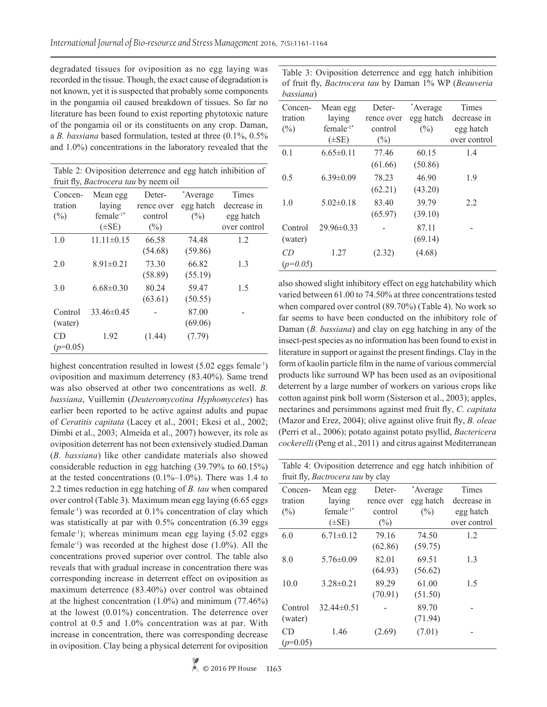degradated tissues for oviposition as no egg laying was recorded in the tissue. Though, the exact cause of degradation is not known, yet it is suspected that probably some components in the pongamia oil caused breakdown of tissues. So far no literature has been found to exist reporting phytotoxic nature of the pongamia oil or its constituents on any crop. Daman, a *B. bassiana* based formulation, tested at three (0.1%, 0.5% and 1.0%) concentrations in the laboratory revealed that the

| Table 2: Oviposition deterrence and egg hatch inhibition of<br>fruit fly, <i>Bactrocera tau</i> by neem oil |                         |            |           |              |
|-------------------------------------------------------------------------------------------------------------|-------------------------|------------|-----------|--------------|
| Concen-                                                                                                     | Mean egg                | Deter-     | *Average  | Times        |
| tration                                                                                                     | laying                  | rence over | egg hatch | decrease in  |
| $(\%)$                                                                                                      | female $1$ <sup>*</sup> | control    | $(\%)$    | egg hatch    |
|                                                                                                             | $(\pm SE)$              | $(\%)$     |           | over control |
| 1.0                                                                                                         | $11.11 \pm 0.15$        | 66.58      | 74.48     | 1.2          |
|                                                                                                             |                         | (54.68)    | (59.86)   |              |
| 2.0                                                                                                         | $8.91 \pm 0.21$         | 73.30      | 66.82     | 1.3          |
|                                                                                                             |                         | (58.89)    | (55.19)   |              |
| 3.0                                                                                                         | $6.68 \pm 0.30$         | 80.24      | 59.47     | 1.5          |
|                                                                                                             |                         | (63.61)    | (50.55)   |              |
| Control                                                                                                     | $33.46\pm0.45$          |            | 87.00     |              |
| (water)                                                                                                     |                         |            | (69.06)   |              |
| CD                                                                                                          | 1.92                    | (1.44)     | (7.79)    |              |
| $(p=0.05)$                                                                                                  |                         |            |           |              |

highest concentration resulted in lowest (5.02 eggs female<sup>-1</sup>) oviposition and maximum deterrency (83.40%). Same trend was also observed at other two concentrations as well. *B. bassiana*, Vuillemin (*Deuteromycotina Hyphomycetes*) has earlier been reported to be active against adults and pupae of *Ceratitis capitata* (Lacey et al., 2001; Ekesi et al., 2002; Dimbi et al., 2003; Almeida et al., 2007) however, its role as oviposition deterrent has not been extensively studied.Daman (*B. bassiana*) like other candidate materials also showed considerable reduction in egg hatching (39.79% to 60.15%) at the tested concentrations  $(0.1\text{%-1.0\%})$ . There was 1.4 to 2.2 times reduction in egg hatching of *B. tau* when compared over control (Table 3). Maximum mean egg laying (6.65 eggs female-1) was recorded at 0.1% concentration of clay which was statistically at par with 0.5% concentration (6.39 eggs) female-1); whereas minimum mean egg laying (5.02 eggs female-1) was recorded at the highest dose (1.0%). All the concentrations proved superior over control. The table also reveals that with gradual increase in concentration there was corresponding increase in deterrent effect on oviposition as maximum deterrence (83.40%) over control was obtained at the highest concentration  $(1.0\%)$  and minimum  $(77.46\%)$ at the lowest (0.01%) concentration. The deterrence over control at 0.5 and 1.0% concentration was at par. With increase in concentration, there was corresponding decrease in oviposition. Clay being a physical deterrent for oviposition

| vassiana j |                         |            |           |              |
|------------|-------------------------|------------|-----------|--------------|
| Concen-    | Mean egg                | Deter-     | *Average  | Times        |
| tration    | laying                  | rence over | egg hatch | decrease in  |
| $(\%)$     | female $1$ <sup>*</sup> | control    | $(\%)$    | egg hatch    |
|            | $(\pm SE)$              | $(\%)$     |           | over control |
| 0.1        | $6.65 \pm 0.11$         | 77.46      | 60.15     | 1.4          |
|            |                         | (61.66)    | (50.86)   |              |
| 0.5        | $6.39 \pm 0.09$         | 78.23      | 46.90     | 1.9          |
|            |                         | (62.21)    | (43.20)   |              |
| 1.0        | $5.02 \pm 0.18$         | 83.40      | 39.79     | 2.2          |
|            |                         | (65.97)    | (39.10)   |              |
| Control    | $29.96 \pm 0.33$        |            | 87.11     |              |
| (water)    |                         |            | (69.14)   |              |
| CD         | 1.27                    | (2.32)     | (4.68)    |              |
| $(p=0.05)$ |                         |            |           |              |

Table 3: Oviposition deterrence and egg hatch inhibition of fruit fly, *Bactrocera tau* by Daman 1% WP (*Beauveria* 

*bassiana*)

also showed slight inhibitory effect on egg hatchability which varied between 61.00 to 74.50% at three concentrations tested when compared over control (89.70%) (Table 4). No work so far seems to have been conducted on the inhibitory role of Daman (*B. bassiana*) and clay on egg hatching in any of the insect-pest species as no information has been found to exist in literature in support or against the present findings. Clay in the form of kaolin particle film in the name of various commercial products like surround WP has been used as an ovipositional deterrent by a large number of workers on various crops like cotton against pink boll worm (Sisterson et al., 2003); apples, nectarines and persimmons against med fruit fly, *C. capitata*  (Mazor and Erez, 2004); olive against olive fruit fly, *B. oleae*  (Perri et al., 2006); potato against potato psyllid, *Bactericera cockerelli* (Peng et al., 2011) and citrus against Mediterranean

Table 4: Oviposition deterrence and egg hatch inhibition of fruit fly, *Bactrocera tau* by clay

| mun ny, <i>bacirocera iau</i> vy ciay |                         |            |           |              |
|---------------------------------------|-------------------------|------------|-----------|--------------|
| Concen-                               | Mean egg                | Deter-     | *Average  | Times        |
| tration                               | laying                  | rence over | egg hatch | decrease in  |
| $(\%)$                                | female $1$ <sup>*</sup> | control    | $(\%)$    | egg hatch    |
|                                       | $(\pm SE)$              | $(\%)$     |           | over control |
| 6.0                                   | $6.71 \pm 0.12$         | 79.16      | 74.50     | 1.2          |
|                                       |                         | (62.86)    | (59.75)   |              |
| 8.0                                   | $5.76 \pm 0.09$         | 82.01      | 69.51     | 1.3          |
|                                       |                         | (64.93)    | (56.62)   |              |
| 10.0                                  | $3.28 \pm 0.21$         | 89.29      | 61.00     | 1.5          |
|                                       |                         | (70.91)    | (51.50)   |              |
| Control                               | $32.44\pm0.51$          |            | 89.70     |              |
| (water)                               |                         |            | (71.94)   |              |
| CD                                    | 1.46                    | (2.69)     | (7.01)    |              |
| $(p=0.05)$                            |                         |            |           |              |